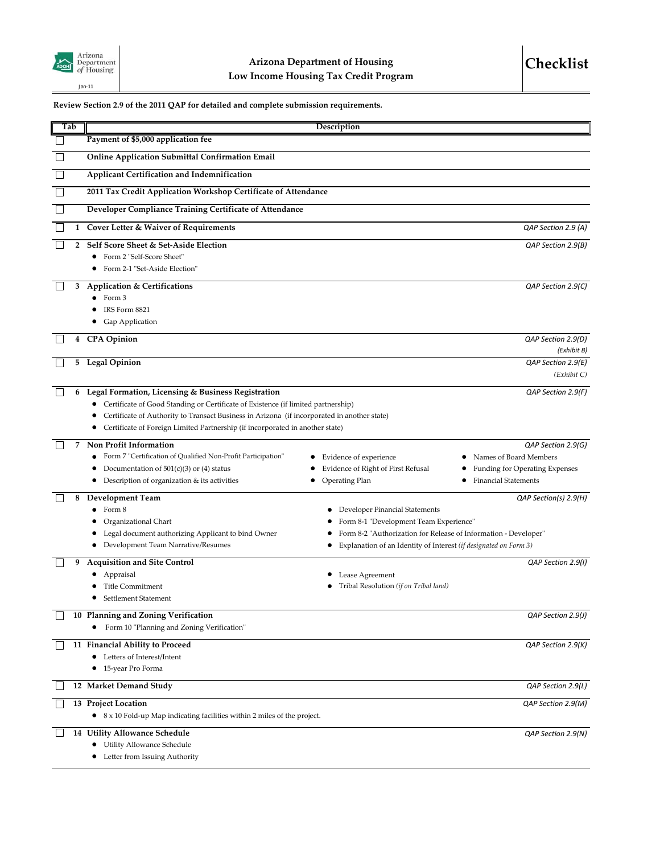

## **Review Section 2.9 of the 2011 QAP for detailed and complete submission requirements.**

| Tab          | Description                                                                                 |                                                                                                           |
|--------------|---------------------------------------------------------------------------------------------|-----------------------------------------------------------------------------------------------------------|
|              | Payment of \$5,000 application fee                                                          |                                                                                                           |
|              | <b>Online Application Submittal Confirmation Email</b>                                      |                                                                                                           |
|              | Applicant Certification and Indemnification                                                 |                                                                                                           |
|              | 2011 Tax Credit Application Workshop Certificate of Attendance                              |                                                                                                           |
|              | Developer Compliance Training Certificate of Attendance                                     |                                                                                                           |
|              | 1 Cover Letter & Waiver of Requirements                                                     | QAP Section 2.9 (A)                                                                                       |
| $\mathbf{2}$ | Self Score Sheet & Set-Aside Election                                                       | QAP Section 2.9(B)                                                                                        |
|              | • Form 2 "Self-Score Sheet"                                                                 |                                                                                                           |
|              | Form 2-1 "Set-Aside Election"                                                               |                                                                                                           |
| 3            | <b>Application &amp; Certifications</b>                                                     | QAP Section 2.9(C)                                                                                        |
|              | Form 3                                                                                      |                                                                                                           |
|              | IRS Form 8821<br>Gap Application                                                            |                                                                                                           |
|              |                                                                                             |                                                                                                           |
| 4            | <b>CPA</b> Opinion                                                                          | QAP Section 2.9(D)<br>(Exhibit B)                                                                         |
| 5            | <b>Legal Opinion</b>                                                                        | QAP Section 2.9(E)                                                                                        |
|              |                                                                                             | (Exhibit C)                                                                                               |
| 6            | Legal Formation, Licensing & Business Registration                                          | QAP Section 2.9(F)                                                                                        |
|              | Certificate of Good Standing or Certificate of Existence (if limited partnership)           |                                                                                                           |
|              | Certificate of Authority to Transact Business in Arizona (if incorporated in another state) |                                                                                                           |
|              | Certificate of Foreign Limited Partnership (if incorporated in another state)               |                                                                                                           |
| 7            | Non Profit Information                                                                      | QAP Section 2.9(G)                                                                                        |
|              | Form 7 "Certification of Qualified Non-Profit Participation"                                | Names of Board Members<br>Evidence of experience                                                          |
|              | Documentation of $501(c)(3)$ or (4) status                                                  | Evidence of Right of First Refusal<br>Funding for Operating Expenses                                      |
|              | Description of organization & its activities<br>Operating Plan                              | <b>Financial Statements</b>                                                                               |
| 8            | <b>Development Team</b>                                                                     | QAP Section(s) 2.9(H)                                                                                     |
|              | Form 8                                                                                      | Developer Financial Statements                                                                            |
|              | Organizational Chart<br>Legal document authorizing Applicant to bind Owner                  | Form 8-1 "Development Team Experience"<br>Form 8-2 "Authorization for Release of Information - Developer" |
|              | Development Team Narrative/Resumes                                                          | Explanation of an Identity of Interest (if designated on Form 3)                                          |
| 9            | <b>Acquisition and Site Control</b>                                                         | QAP Section 2.9(I)                                                                                        |
|              | Appraisal                                                                                   | Lease Agreement                                                                                           |
|              | <b>Title Commitment</b>                                                                     | Tribal Resolution (if on Tribal land)                                                                     |
|              | Settlement Statement                                                                        |                                                                                                           |
|              | 10 Planning and Zoning Verification                                                         | QAP Section 2.9(J)                                                                                        |
|              | Form 10 "Planning and Zoning Verification"                                                  |                                                                                                           |
|              | 11 Financial Ability to Proceed                                                             | QAP Section 2.9(K)                                                                                        |
|              | Letters of Interest/Intent                                                                  |                                                                                                           |
|              | 15-year Pro Forma                                                                           |                                                                                                           |
|              | 12 Market Demand Study                                                                      | QAP Section 2.9(L)                                                                                        |
|              | 13 Project Location                                                                         | QAP Section 2.9(M)                                                                                        |
|              | • $8 \times 10$ Fold-up Map indicating facilities within 2 miles of the project.            |                                                                                                           |
|              | 14 Utility Allowance Schedule                                                               | QAP Section 2.9(N)                                                                                        |
|              | Utility Allowance Schedule                                                                  |                                                                                                           |
|              | Letter from Issuing Authority                                                               |                                                                                                           |